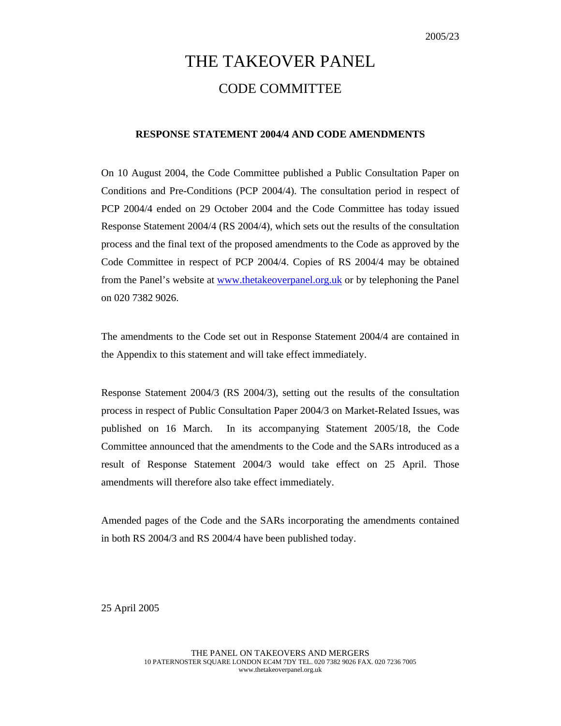# THE TAKEOVER PANEL CODE COMMITTEE

# **RESPONSE STATEMENT 2004/4 AND CODE AMENDMENTS**

On 10 August 2004, the Code Committee published a Public Consultation Paper on Conditions and Pre-Conditions (PCP 2004/4). The consultation period in respect of PCP 2004/4 ended on 29 October 2004 and the Code Committee has today issued Response Statement 2004/4 (RS 2004/4), which sets out the results of the consultation process and the final text of the proposed amendments to the Code as approved by the Code Committee in respect of PCP 2004/4. Copies of RS 2004/4 may be obtained from the Panel's website at www.thetakeoverpanel.org.uk or by telephoning the Panel on 020 7382 9026.

The amendments to the Code set out in Response Statement 2004/4 are contained in the Appendix to this statement and will take effect immediately.

Response Statement 2004/3 (RS 2004/3), setting out the results of the consultation process in respect of Public Consultation Paper 2004/3 on Market-Related Issues, was published on 16 March. In its accompanying Statement 2005/18, the Code Committee announced that the amendments to the Code and the SARs introduced as a result of Response Statement 2004/3 would take effect on 25 April. Those amendments will therefore also take effect immediately.

Amended pages of the Code and the SARs incorporating the amendments contained in both RS 2004/3 and RS 2004/4 have been published today.

25 April 2005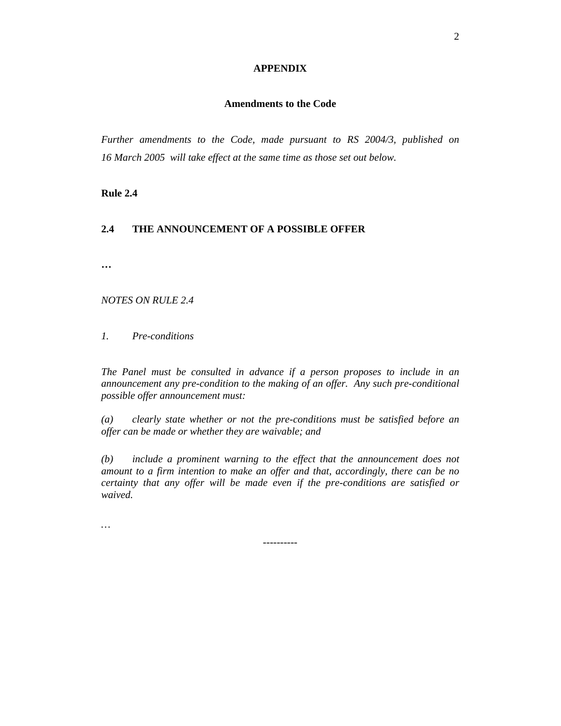# **APPENDIX**

# **Amendments to the Code**

*Further amendments to the Code, made pursuant to RS 2004/3, published on 16 March 2005 will take effect at the same time as those set out below.* 

**Rule 2.4** 

# **2.4 THE ANNOUNCEMENT OF A POSSIBLE OFFER**

**…** 

*NOTES ON RULE 2.4* 

*1. Pre-conditions*

*The Panel must be consulted in advance if a person proposes to include in an announcement any pre-condition to the making of an offer. Any such pre-conditional possible offer announcement must:* 

*(a) clearly state whether or not the pre-conditions must be satisfied before an offer can be made or whether they are waivable; and* 

*(b) include a prominent warning to the effect that the announcement does not amount to a firm intention to make an offer and that, accordingly, there can be no certainty that any offer will be made even if the pre-conditions are satisfied or waived.* 

*…* 

----------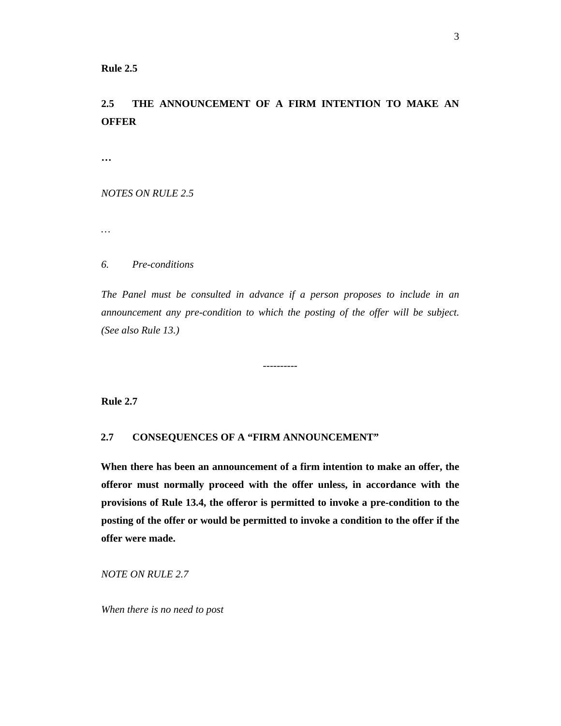# **Rule 2.5**

# **2.5 THE ANNOUNCEMENT OF A FIRM INTENTION TO MAKE AN OFFER**

**…** 

*NOTES ON RULE 2.5* 

*…* 

# *6. Pre-conditions*

*The Panel must be consulted in advance if a person proposes to include in an announcement any pre-condition to which the posting of the offer will be subject. (See also Rule 13.)* 

----------

**Rule 2.7** 

# **2.7 CONSEQUENCES OF A "FIRM ANNOUNCEMENT"**

**When there has been an announcement of a firm intention to make an offer, the offeror must normally proceed with the offer unless, in accordance with the provisions of Rule 13.4, the offeror is permitted to invoke a pre-condition to the posting of the offer or would be permitted to invoke a condition to the offer if the offer were made.**

*NOTE ON RULE 2.7* 

 *When there is no need to post*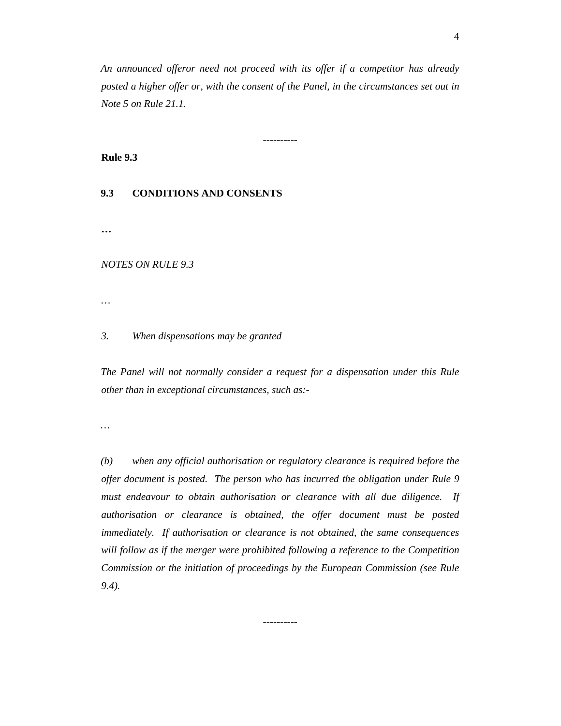*An announced offeror need not proceed with its offer if a competitor has already posted a higher offer or, with the consent of the Panel, in the circumstances set out in Note 5 on Rule 21.1.* 

----------

**Rule 9.3** 

# **9.3 CONDITIONS AND CONSENTS**

**…** 

*NOTES ON RULE 9.3* 

*…* 

#### *3. When dispensations may be granted*

*The Panel will not normally consider a request for a dispensation under this Rule other than in exceptional circumstances, such as:-* 

*…* 

*(b) when any official authorisation or regulatory clearance is required before the offer document is posted. The person who has incurred the obligation under Rule 9 must endeavour to obtain authorisation or clearance with all due diligence. If authorisation or clearance is obtained, the offer document must be posted immediately. If authorisation or clearance is not obtained, the same consequences will follow as if the merger were prohibited following a reference to the Competition Commission or the initiation of proceedings by the European Commission (see Rule 9.4).* 

----------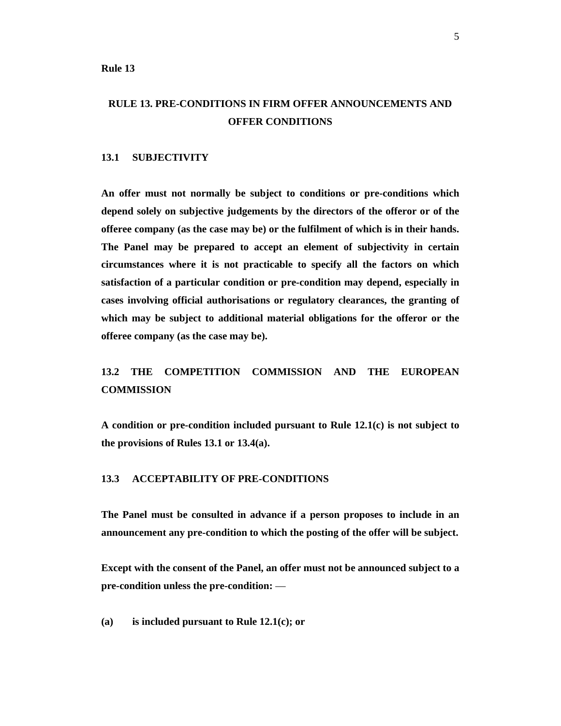**Rule 13** 

# **RULE 13. PRE-CONDITIONS IN FIRM OFFER ANNOUNCEMENTS AND OFFER CONDITIONS**

#### **13.1 SUBJECTIVITY**

**An offer must not normally be subject to conditions or pre-conditions which depend solely on subjective judgements by the directors of the offeror or of the offeree company (as the case may be) or the fulfilment of which is in their hands. The Panel may be prepared to accept an element of subjectivity in certain circumstances where it is not practicable to specify all the factors on which satisfaction of a particular condition or pre-condition may depend, especially in cases involving official authorisations or regulatory clearances, the granting of which may be subject to additional material obligations for the offeror or the offeree company (as the case may be).** 

# **13.2 THE COMPETITION COMMISSION AND THE EUROPEAN COMMISSION**

**A condition or pre-condition included pursuant to Rule 12.1(c) is not subject to the provisions of Rules 13.1 or 13.4(a).** 

# **13.3 ACCEPTABILITY OF PRE-CONDITIONS**

**The Panel must be consulted in advance if a person proposes to include in an announcement any pre-condition to which the posting of the offer will be subject.** 

**Except with the consent of the Panel, an offer must not be announced subject to a pre-condition unless the pre-condition:** —

**(a) is included pursuant to Rule 12.1(c); or**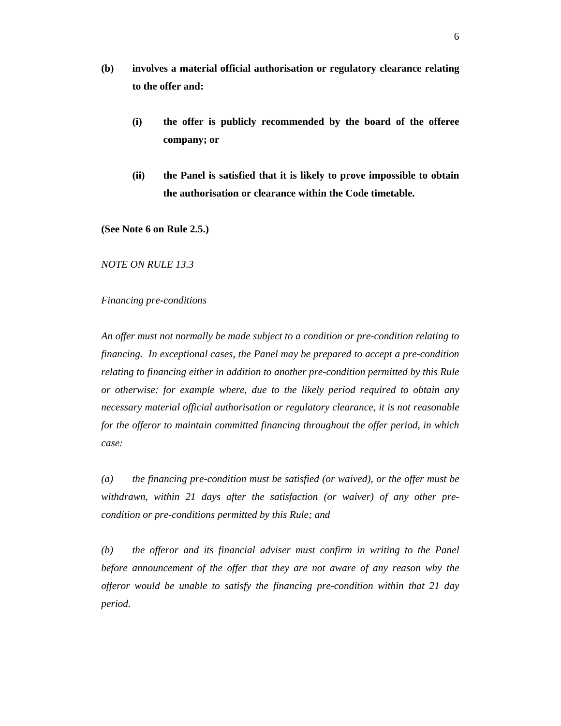- **(b) involves a material official authorisation or regulatory clearance relating to the offer and:** 
	- **(i) the offer is publicly recommended by the board of the offeree company; or**
	- **(ii) the Panel is satisfied that it is likely to prove impossible to obtain the authorisation or clearance within the Code timetable.**

**(See Note 6 on Rule 2.5.)** 

*NOTE ON RULE 13.3* 

#### *Financing pre-conditions*

*An offer must not normally be made subject to a condition or pre-condition relating to financing. In exceptional cases, the Panel may be prepared to accept a pre-condition relating to financing either in addition to another pre-condition permitted by this Rule or otherwise: for example where, due to the likely period required to obtain any necessary material official authorisation or regulatory clearance, it is not reasonable for the offeror to maintain committed financing throughout the offer period, in which case:* 

*(a) the financing pre-condition must be satisfied (or waived), or the offer must be withdrawn, within 21 days after the satisfaction (or waiver) of any other precondition or pre-conditions permitted by this Rule; and* 

*(b) the offeror and its financial adviser must confirm in writing to the Panel before announcement of the offer that they are not aware of any reason why the offeror would be unable to satisfy the financing pre-condition within that 21 day period.*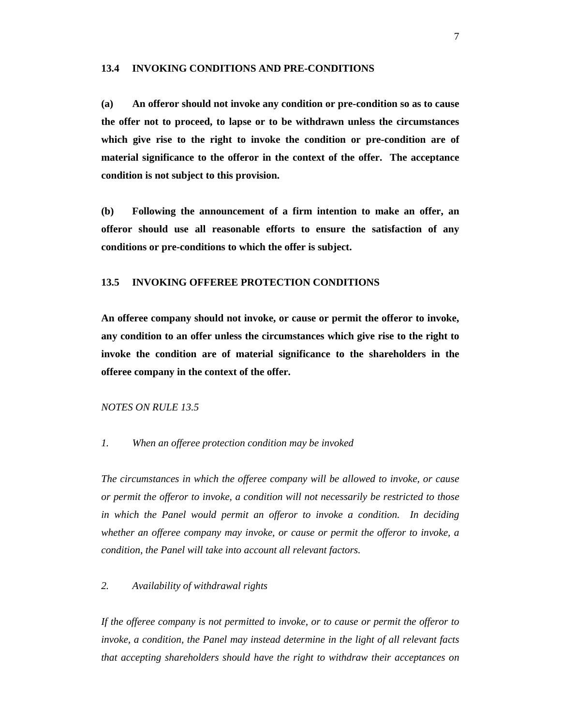#### **13.4 INVOKING CONDITIONS AND PRE-CONDITIONS**

**(a) An offeror should not invoke any condition or pre-condition so as to cause the offer not to proceed, to lapse or to be withdrawn unless the circumstances which give rise to the right to invoke the condition or pre-condition are of material significance to the offeror in the context of the offer. The acceptance condition is not subject to this provision.** 

**(b) Following the announcement of a firm intention to make an offer, an offeror should use all reasonable efforts to ensure the satisfaction of any conditions or pre-conditions to which the offer is subject.** 

# **13.5 INVOKING OFFEREE PROTECTION CONDITIONS**

**An offeree company should not invoke, or cause or permit the offeror to invoke, any condition to an offer unless the circumstances which give rise to the right to invoke the condition are of material significance to the shareholders in the offeree company in the context of the offer.**

#### *NOTES ON RULE 13.5*

#### *1. When an offeree protection condition may be invoked*

*The circumstances in which the offeree company will be allowed to invoke, or cause or permit the offeror to invoke, a condition will not necessarily be restricted to those in which the Panel would permit an offeror to invoke a condition. In deciding whether an offeree company may invoke, or cause or permit the offeror to invoke, a condition, the Panel will take into account all relevant factors.* 

# *2. Availability of withdrawal rights*

*If the offeree company is not permitted to invoke, or to cause or permit the offeror to invoke, a condition, the Panel may instead determine in the light of all relevant facts that accepting shareholders should have the right to withdraw their acceptances on*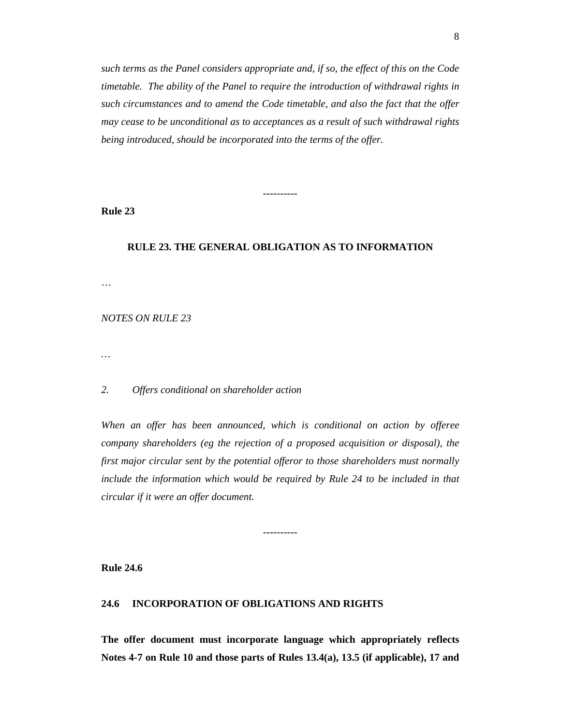*such terms as the Panel considers appropriate and, if so, the effect of this on the Code timetable. The ability of the Panel to require the introduction of withdrawal rights in such circumstances and to amend the Code timetable, and also the fact that the offer may cease to be unconditional as to acceptances as a result of such withdrawal rights being introduced, should be incorporated into the terms of the offer.* 

**Rule 23** 

# **RULE 23. THE GENERAL OBLIGATION AS TO INFORMATION**

----------

…

# *NOTES ON RULE 23*

*…* 

#### *2. Offers conditional on shareholder action*

*When an offer has been announced, which is conditional on action by offeree company shareholders (eg the rejection of a proposed acquisition or disposal), the first major circular sent by the potential offeror to those shareholders must normally include the information which would be required by Rule 24 to be included in that circular if it were an offer document.* 

----------

**Rule 24.6** 

#### **24.6 INCORPORATION OF OBLIGATIONS AND RIGHTS**

**The offer document must incorporate language which appropriately reflects Notes 4-7 on Rule 10 and those parts of Rules 13.4(a), 13.5 (if applicable), 17 and**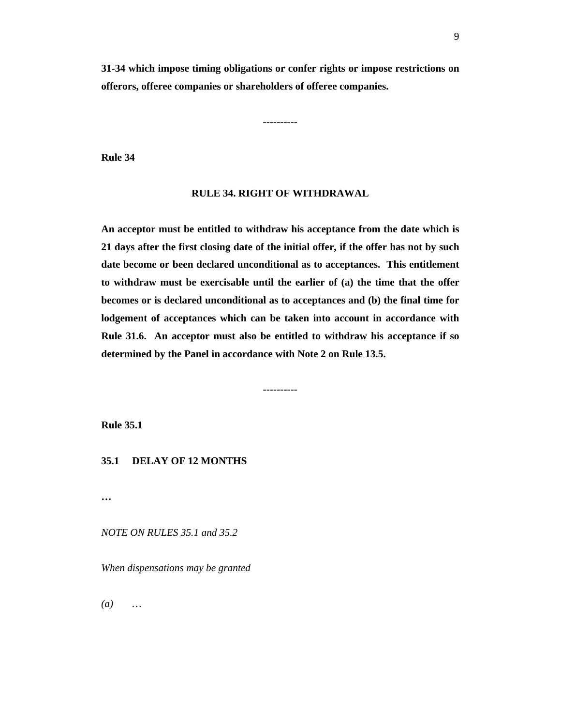**31-34 which impose timing obligations or confer rights or impose restrictions on offerors, offeree companies or shareholders of offeree companies.** 

----------

**Rule 34** 

#### **RULE 34. RIGHT OF WITHDRAWAL**

**An acceptor must be entitled to withdraw his acceptance from the date which is 21 days after the first closing date of the initial offer, if the offer has not by such date become or been declared unconditional as to acceptances. This entitlement to withdraw must be exercisable until the earlier of (a) the time that the offer becomes or is declared unconditional as to acceptances and (b) the final time for lodgement of acceptances which can be taken into account in accordance with Rule 31.6. An acceptor must also be entitled to withdraw his acceptance if so determined by the Panel in accordance with Note 2 on Rule 13.5.** 

----------

**Rule 35.1** 

# **35.1 DELAY OF 12 MONTHS**

**…** 

*NOTE ON RULES 35.1 and 35.2* 

*When dispensations may be granted* 

*(a) …*